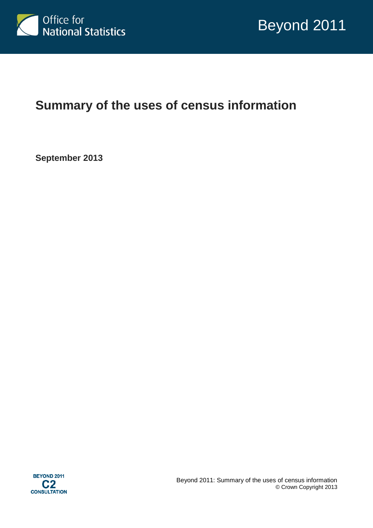

# **Summary of the uses of census information**

**September 2013**

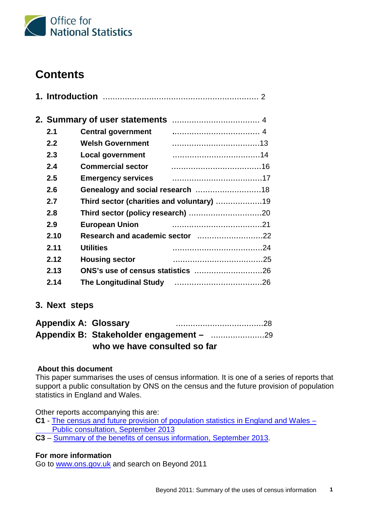

# **Contents**

| 2.1  | <b>Central government</b> |                                           |  |
|------|---------------------------|-------------------------------------------|--|
| 2.2  | <b>Welsh Government</b>   |                                           |  |
| 2.3  | <b>Local government</b>   |                                           |  |
| 2.4  | <b>Commercial sector</b>  |                                           |  |
| 2.5  |                           |                                           |  |
| 2.6  |                           |                                           |  |
| 2.7  |                           | Third sector (charities and voluntary) 19 |  |
| 2.8  |                           |                                           |  |
| 2.9  | <b>European Union</b>     |                                           |  |
| 2.10 |                           |                                           |  |
| 2.11 | <b>Utilities</b>          |                                           |  |
| 2.12 | <b>Housing sector</b>     |                                           |  |
| 2.13 |                           |                                           |  |
| 2.14 |                           |                                           |  |

## **3. Next steps**

| <b>Appendix A: Glossary</b> |                              |  |
|-----------------------------|------------------------------|--|
|                             |                              |  |
|                             | who we have consulted so far |  |

## **About this document**

This paper summarises the uses of census information. It is one of a series of reports that support a public consultation by ONS on the census and the future provision of population statistics in England and Wales.

Other reports accompanying this are:

- **C1** [The census and future provision of population statistics in England and Wales](http://ons.gov.uk/ons/about-ons/get-involved/consultations/consultations/beyond-2011-consultation/beyond-2011-consultation-doc-c1.pdf)  [Public consultation,](http://ons.gov.uk/ons/about-ons/get-involved/consultations/consultations/beyond-2011-consultation/beyond-2011-consultation-doc-c1.pdf) September 2013
- **C3**  [Summary of the benefits of census information, September 2013.](http://ons.gov.uk/ons/about-ons/get-involved/consultations/consultations/beyond-2011-consultation/beyond-2011-consultation-doc-c3.pdf)

## **For more information**

Go to [www.ons.gov.uk](http://www.ons.gov.uk/) and search on Beyond 2011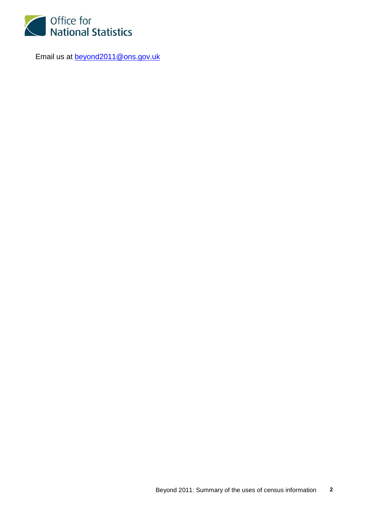

Email us at **beyond2011@ons.gov.uk**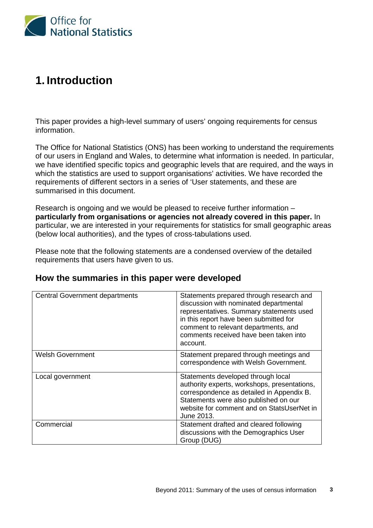

# **1. Introduction**

This paper provides a high-level summary of users' ongoing requirements for census information.

The Office for National Statistics (ONS) has been working to understand the requirements of our users in England and Wales, to determine what information is needed. In particular, we have identified specific topics and geographic levels that are required, and the ways in which the statistics are used to support organisations' activities. We have recorded the requirements of different sectors in a series of 'User statements, and these are summarised in this document.

Research is ongoing and we would be pleased to receive further information – **particularly from organisations or agencies not already covered in this paper.** In particular, we are interested in your requirements for statistics for small geographic areas (below local authorities), and the types of cross-tabulations used.

Please note that the following statements are a condensed overview of the detailed requirements that users have given to us.

| <b>Central Government departments</b> | Statements prepared through research and<br>discussion with nominated departmental<br>representatives. Summary statements used<br>in this report have been submitted for<br>comment to relevant departments, and<br>comments received have been taken into<br>account. |
|---------------------------------------|------------------------------------------------------------------------------------------------------------------------------------------------------------------------------------------------------------------------------------------------------------------------|
| <b>Welsh Government</b>               | Statement prepared through meetings and<br>correspondence with Welsh Government.                                                                                                                                                                                       |
| Local government                      | Statements developed through local<br>authority experts, workshops, presentations,<br>correspondence as detailed in Appendix B.<br>Statements were also published on our<br>website for comment and on StatsUserNet in<br>June 2013.                                   |
| Commercial                            | Statement drafted and cleared following<br>discussions with the Demographics User<br>Group (DUG)                                                                                                                                                                       |

## **How the summaries in this paper were developed**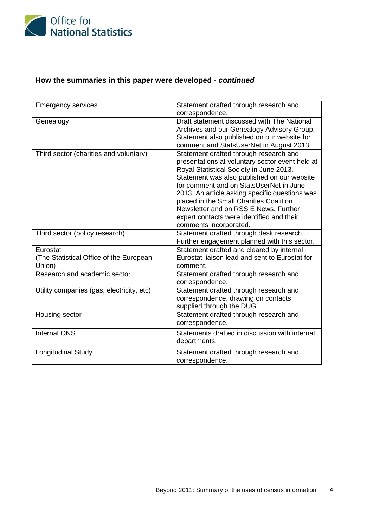

# **How the summaries in this paper were developed -** *continued*

| <b>Emergency services</b>                                     | Statement drafted through research and<br>correspondence.                                                                                                                                                                                                                                                                                                                                                                                   |
|---------------------------------------------------------------|---------------------------------------------------------------------------------------------------------------------------------------------------------------------------------------------------------------------------------------------------------------------------------------------------------------------------------------------------------------------------------------------------------------------------------------------|
| Genealogy                                                     | Draft statement discussed with The National<br>Archives and our Genealogy Advisory Group.<br>Statement also published on our website for<br>comment and StatsUserNet in August 2013.                                                                                                                                                                                                                                                        |
| Third sector (charities and voluntary)                        | Statement drafted through research and<br>presentations at voluntary sector event held at<br>Royal Statistical Society in June 2013.<br>Statement was also published on our website<br>for comment and on StatsUserNet in June<br>2013. An article asking specific questions was<br>placed in the Small Charities Coalition<br>Newsletter and on RSS E News. Further<br>expert contacts were identified and their<br>comments incorporated. |
| Third sector (policy research)                                | Statement drafted through desk research.<br>Further engagement planned with this sector.                                                                                                                                                                                                                                                                                                                                                    |
| Eurostat<br>(The Statistical Office of the European<br>Union) | Statement drafted and cleared by internal<br>Eurostat liaison lead and sent to Eurostat for<br>comment.                                                                                                                                                                                                                                                                                                                                     |
| Research and academic sector                                  | Statement drafted through research and<br>correspondence.                                                                                                                                                                                                                                                                                                                                                                                   |
| Utility companies (gas, electricity, etc)                     | Statement drafted through research and<br>correspondence, drawing on contacts<br>supplied through the DUG.                                                                                                                                                                                                                                                                                                                                  |
| Housing sector                                                | Statement drafted through research and<br>correspondence.                                                                                                                                                                                                                                                                                                                                                                                   |
| <b>Internal ONS</b>                                           | Statements drafted in discussion with internal<br>departments.                                                                                                                                                                                                                                                                                                                                                                              |
| <b>Longitudinal Study</b>                                     | Statement drafted through research and<br>correspondence.                                                                                                                                                                                                                                                                                                                                                                                   |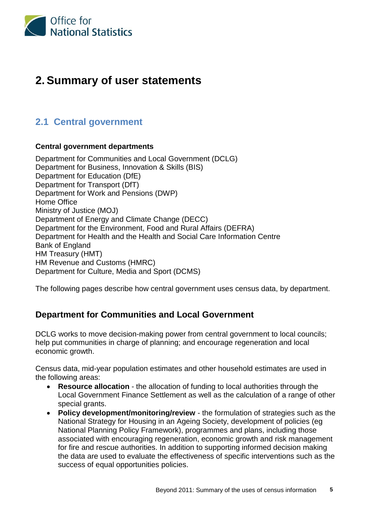

# **2. Summary of user statements**

# **2.1 Central government**

## **Central government departments**

Department for Communities and Local Government (DCLG) Department for Business, Innovation & Skills (BIS) Department for Education (DfE) Department for Transport (DfT) Department for Work and Pensions (DWP) Home Office Ministry of Justice (MOJ) Department of Energy and Climate Change (DECC) Department for the Environment, Food and Rural Affairs (DEFRA) Department for Health and the Health and Social Care Information Centre Bank of England HM Treasury (HMT) HM Revenue and Customs (HMRC) Department for Culture, Media and Sport (DCMS)

The following pages describe how central government uses census data, by department.

# **Department for Communities and Local Government**

DCLG works to move decision-making power from central government to local councils; help put communities in charge of planning; and encourage regeneration and local economic growth.

Census data, mid-year population estimates and other household estimates are used in the following areas:

- **Resource allocation** the allocation of funding to local authorities through the Local Government Finance Settlement as well as the calculation of a range of other special grants.
- **Policy development/monitoring/review** the formulation of strategies such as the National Strategy for Housing in an Ageing Society, development of policies (eg National Planning Policy Framework), programmes and plans, including those associated with encouraging regeneration, economic growth and risk management for fire and rescue authorities. In addition to supporting informed decision making the data are used to evaluate the effectiveness of specific interventions such as the success of equal opportunities policies.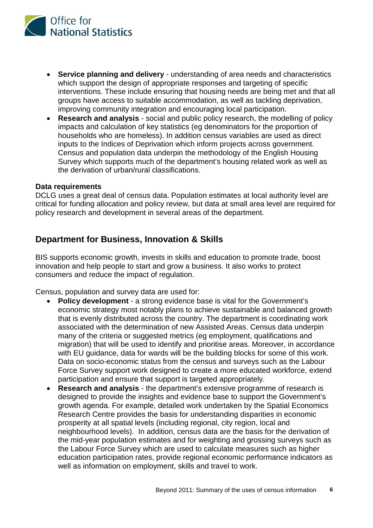

- **Service planning and delivery** understanding of area needs and characteristics which support the design of appropriate responses and targeting of specific interventions. These include ensuring that housing needs are being met and that all groups have access to suitable accommodation, as well as tackling deprivation, improving community integration and encouraging local participation.
- **Research and analysis** social and public policy research, the modelling of policy impacts and calculation of key statistics (eg denominators for the proportion of households who are homeless). In addition census variables are used as direct inputs to the Indices of Deprivation which inform projects across government. Census and population data underpin the methodology of the English Housing Survey which supports much of the department's housing related work as well as the derivation of urban/rural classifications.

### **Data requirements**

DCLG uses a great deal of census data. Population estimates at local authority level are critical for funding allocation and policy review, but data at small area level are required for policy research and development in several areas of the department.

## **Department for Business, Innovation & Skills**

BIS supports economic growth, invests in skills and education to promote trade, boost innovation and help people to start and grow a business. It also works to protect consumers and reduce the impact of regulation.

Census, population and survey data are used for:

- **Policy development**  a strong evidence base is vital for the Government's economic strategy most notably plans to achieve sustainable and balanced growth that is evenly distributed across the country. The department is coordinating work associated with the determination of new Assisted Areas. Census data underpin many of the criteria or suggested metrics (eg employment, qualifications and migration) that will be used to identify and prioritise areas. Moreover, in accordance with EU guidance, data for wards will be the building blocks for some of this work. Data on socio-economic status from the census and surveys such as the Labour Force Survey support work designed to create a more educated workforce, extend participation and ensure that support is targeted appropriately.
- **Research and analysis**  the department's extensive programme of research is designed to provide the insights and evidence base to support the Government's growth agenda. For example, detailed work undertaken by the Spatial Economics Research Centre provides the basis for understanding disparities in economic prosperity at all spatial levels (including regional, city region, local and neighbourhood levels). In addition, census data are the basis for the derivation of the mid-year population estimates and for weighting and grossing surveys such as the Labour Force Survey which are used to calculate measures such as higher education participation rates, provide regional economic performance indicators as well as information on employment, skills and travel to work.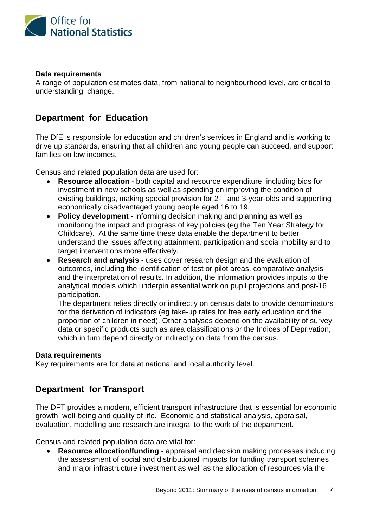

## **Data requirements**

A range of population estimates data, from national to neighbourhood level, are critical to understanding change.

# **Department for Education**

The DfE is responsible for education and children's services in England and is working to drive up standards, ensuring that all children and young people can succeed, and support families on low incomes.

Census and related population data are used for:

- **Resource allocation**  both capital and resource expenditure, including bids for investment in new schools as well as spending on improving the condition of existing buildings, making special provision for 2- and 3-year-olds and supporting economically disadvantaged young people aged 16 to 19.
- **Policy development**  informing decision making and planning as well as monitoring the impact and progress of key policies (eg the Ten Year Strategy for Childcare). At the same time these data enable the department to better understand the issues affecting attainment, participation and social mobility and to target interventions more effectively.
- **Research and analysis**  uses cover research design and the evaluation of outcomes, including the identification of test or pilot areas, comparative analysis and the interpretation of results. In addition, the information provides inputs to the analytical models which underpin essential work on pupil projections and post-16 participation.

The department relies directly or indirectly on census data to provide denominators for the derivation of indicators (eg take-up rates for free early education and the proportion of children in need). Other analyses depend on the availability of survey data or specific products such as area classifications or the Indices of Deprivation, which in turn depend directly or indirectly on data from the census.

### **Data requirements**

Key requirements are for data at national and local authority level.

## **Department for Transport**

The DFT provides a modern, efficient transport infrastructure that is essential for economic growth, well-being and quality of life. Economic and statistical analysis, appraisal, evaluation, modelling and research are integral to the work of the department.

Census and related population data are vital for:

• **Resource allocation/funding** - appraisal and decision making processes including the assessment of social and distributional impacts for funding transport schemes and major infrastructure investment as well as the allocation of resources via the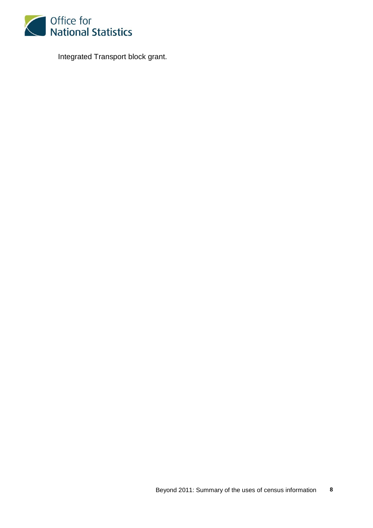

Integrated Transport block grant.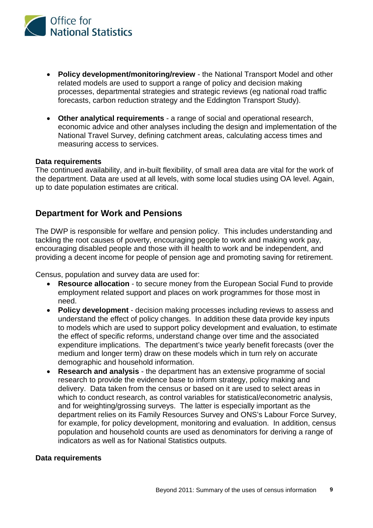

- **Policy development/monitoring/review**  the National Transport Model and other related models are used to support a range of policy and decision making processes, departmental strategies and strategic reviews (eg national road traffic forecasts, carbon reduction strategy and the Eddington Transport Study).
- **Other analytical requirements** a range of social and operational research, economic advice and other analyses including the design and implementation of the National Travel Survey, defining catchment areas, calculating access times and measuring access to services.

### **Data requirements**

The continued availability, and in-built flexibility, of small area data are vital for the work of the department. Data are used at all levels, with some local studies using OA level. Again, up to date population estimates are critical.

## **Department for Work and Pensions**

The DWP is responsible for welfare and pension policy. This includes understanding and tackling the root causes of poverty, encouraging people to work and making work pay, encouraging disabled people and those with ill health to work and be independent, and providing a decent income for people of pension age and promoting saving for retirement.

Census, population and survey data are used for:

- **Resource allocation**  to secure money from the European Social Fund to provide employment related support and places on work programmes for those most in need.
- **Policy development**  decision making processes including reviews to assess and understand the effect of policy changes. In addition these data provide key inputs to models which are used to support policy development and evaluation, to estimate the effect of specific reforms, understand change over time and the associated expenditure implications. The department's twice yearly benefit forecasts (over the medium and longer term) draw on these models which in turn rely on accurate demographic and household information.
- **Research and analysis**  the department has an extensive programme of social research to provide the evidence base to inform strategy, policy making and delivery. Data taken from the census or based on it are used to select areas in which to conduct research, as control variables for statistical/econometric analysis, and for weighting/grossing surveys. The latter is especially important as the department relies on its Family Resources Survey and ONS's Labour Force Survey, for example, for policy development, monitoring and evaluation. In addition, census population and household counts are used as denominators for deriving a range of indicators as well as for National Statistics outputs.

### **Data requirements**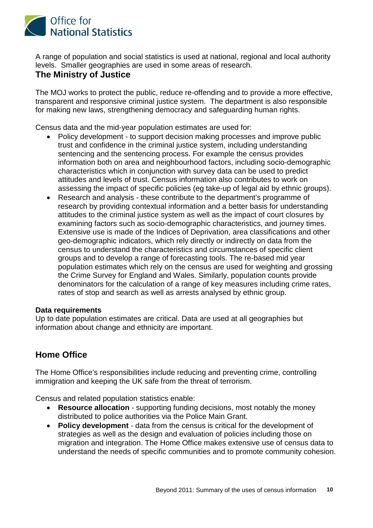

A range of population and social statistics is used at national, regional and local authority levels. Smaller geographies are used in some areas of research.

## **The Ministry of Justice**

The MOJ works to protect the public, reduce re-offending and to provide a more effective, transparent and responsive criminal justice system. The department is also responsible for making new laws, strengthening democracy and safeguarding human rights.

Census data and the mid-year population estimates are used for:

- Policy development to support decision making processes and improve public trust and confidence in the criminal justice system, including understanding sentencing and the sentencing process. For example the census provides information both on area and neighbourhood factors, including socio-demographic characteristics which in conjunction with survey data can be used to predict attitudes and levels of trust. Census information also contributes to work on assessing the impact of specific policies (eg take-up of legal aid by ethnic groups).
- Research and analysis these contribute to the department's programme of research by providing contextual information and a better basis for understanding attitudes to the criminal justice system as well as the impact of court closures by examining factors such as socio-demographic characteristics, and journey times. Extensive use is made of the Indices of Deprivation, area classifications and other geo-demographic indicators, which rely directly or indirectly on data from the census to understand the characteristics and circumstances of specific client groups and to develop a range of forecasting tools. The re-based mid year population estimates which rely on the census are used for weighting and grossing the Crime Survey for England and Wales. Similarly, population counts provide denominators for the calculation of a range of key measures including crime rates, rates of stop and search as well as arrests analysed by ethnic group.

### **Data requirements**

Up to date population estimates are critical. Data are used at all geographies but information about change and ethnicity are important.

# **Home Office**

The Home Office's responsibilities include reducing and preventing crime, controlling immigration and keeping the UK safe from the threat of terrorism.

Census and related population statistics enable:

- **Resource allocation** supporting funding decisions, most notably the money distributed to police authorities via the Police Main Grant.
- **Policy development**  data from the census is critical for the development of strategies as well as the design and evaluation of policies including those on migration and integration. The Home Office makes extensive use of census data to understand the needs of specific communities and to promote community cohesion.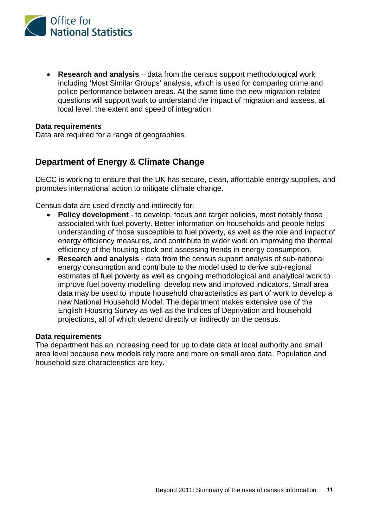

• **Research and analysis** – data from the census support methodological work including 'Most Similar Groups' analysis, which is used for comparing crime and police performance between areas. At the same time the new migration-related questions will support work to understand the impact of migration and assess, at local level, the extent and speed of integration.

### **Data requirements**

Data are required for a range of geographies.

## **Department of Energy & Climate Change**

DECC is working to ensure that the UK has secure, clean, affordable energy supplies, and promotes international action to mitigate climate change.

Census data are used directly and indirectly for:

- **Policy development**  to develop, focus and target policies, most notably those associated with fuel poverty. Better information on households and people helps understanding of those susceptible to fuel poverty, as well as the role and impact of energy efficiency measures, and contribute to wider work on improving the thermal efficiency of the housing stock and assessing trends in energy consumption.
- **Research and analysis**  data from the census support analysis of sub-national energy consumption and contribute to the model used to derive sub-regional estimates of fuel poverty as well as ongoing methodological and analytical work to improve fuel poverty modelling, develop new and improved indicators. Small area data may be used to impute household characteristics as part of work to develop a new National Household Model. The department makes extensive use of the English Housing Survey as well as the Indices of Deprivation and household projections, all of which depend directly or indirectly on the census.

#### **Data requirements**

The department has an increasing need for up to date data at local authority and small area level because new models rely more and more on small area data. Population and household size characteristics are key.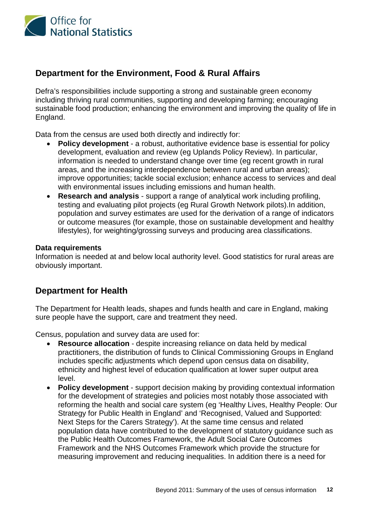

# **Department for the Environment, Food & Rural Affairs**

Defra's responsibilities include supporting a strong and sustainable green economy including thriving rural communities, supporting and developing farming; encouraging sustainable food production; enhancing the environment and improving the quality of life in England.

Data from the census are used both directly and indirectly for:

- **Policy development**  a robust, authoritative evidence base is essential for policy development, evaluation and review (eg Uplands Policy Review). In particular, information is needed to understand change over time (eg recent growth in rural areas, and the increasing interdependence between rural and urban areas); improve opportunities; tackle social exclusion; enhance access to services and deal with environmental issues including emissions and human health.
- **Research and analysis**  support a range of analytical work including profiling, testing and evaluating pilot projects (eg Rural Growth Network pilots).In addition, population and survey estimates are used for the derivation of a range of indicators or outcome measures (for example, those on sustainable development and healthy lifestyles), for weighting/grossing surveys and producing area classifications.

### **Data requirements**

Information is needed at and below local authority level. Good statistics for rural areas are obviously important.

## **Department for Health**

The Department for Health leads, shapes and funds health and care in England, making sure people have the support, care and treatment they need.

Census, population and survey data are used for:

- **Resource allocation**  despite increasing reliance on data held by medical practitioners, the distribution of funds to Clinical Commissioning Groups in England includes specific adjustments which depend upon census data on disability, ethnicity and highest level of education qualification at lower super output area level.
- **Policy development**  support decision making by providing contextual information for the development of strategies and policies most notably those associated with reforming the health and social care system (eg 'Healthy Lives, Healthy People: Our Strategy for Public Health in England' and 'Recognised, Valued and Supported: Next Steps for the Carers Strategy'). At the same time census and related population data have contributed to the development of statutory guidance such as the Public Health Outcomes Framework, the Adult Social Care Outcomes Framework and the NHS Outcomes Framework which provide the structure for measuring improvement and reducing inequalities. In addition there is a need for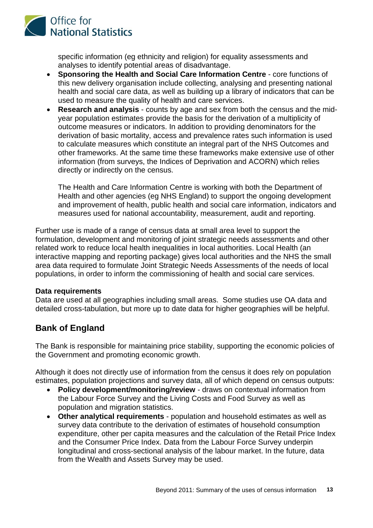

specific information (eg ethnicity and religion) for equality assessments and analyses to identify potential areas of disadvantage.

- **Sponsoring the Health and Social Care Information Centre** core functions of this new delivery organisation include collecting, analysing and presenting national health and social care data, as well as building up a library of indicators that can be used to measure the quality of health and care services.
- **Research and analysis**  counts by age and sex from both the census and the midyear population estimates provide the basis for the derivation of a multiplicity of outcome measures or indicators. In addition to providing denominators for the derivation of basic mortality, access and prevalence rates such information is used to calculate measures which constitute an integral part of the NHS Outcomes and other frameworks. At the same time these frameworks make extensive use of other information (from surveys, the Indices of Deprivation and ACORN) which relies directly or indirectly on the census.

The Health and Care Information Centre is working with both the Department of Health and other agencies (eg NHS England) to support the ongoing development and improvement of health, public health and social care information, indicators and measures used for national accountability, measurement, audit and reporting.

Further use is made of a range of census data at small area level to support the formulation, development and monitoring of joint strategic needs assessments and other related work to reduce local health inequalities in local authorities. Local Health (an interactive mapping and reporting package) gives local authorities and the NHS the small area data required to formulate Joint Strategic Needs Assessments of the needs of local populations, in order to inform the commissioning of health and social care services.

## **Data requirements**

Data are used at all geographies including small areas. Some studies use OA data and detailed cross-tabulation, but more up to date data for higher geographies will be helpful.

## **Bank of England**

The Bank is responsible for maintaining price stability, supporting the economic policies of the Government and promoting economic growth.

Although it does not directly use of information from the census it does rely on population estimates, population projections and survey data, all of which depend on census outputs:

- **Policy development/monitoring/review**  draws on contextual information from the Labour Force Survey and the Living Costs and Food Survey as well as population and migration statistics.
- **Other analytical requirements** population and household estimates as well as survey data contribute to the derivation of estimates of household consumption expenditure, other per capita measures and the calculation of the Retail Price Index and the Consumer Price Index. Data from the Labour Force Survey underpin longitudinal and cross-sectional analysis of the labour market. In the future, data from the Wealth and Assets Survey may be used.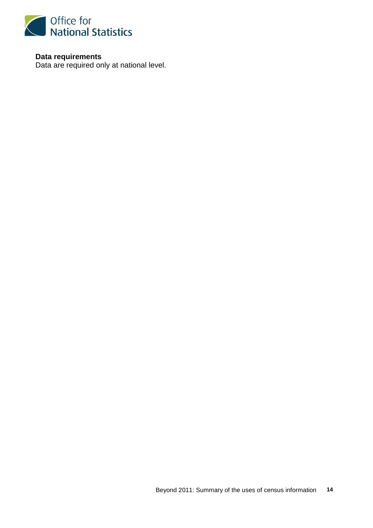

**Data requirements** Data are required only at national level.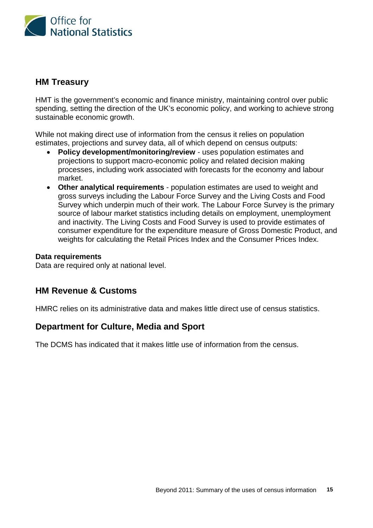

## **HM Treasury**

HMT is the government's economic and finance ministry, maintaining control over public spending, setting the direction of the UK's economic policy, and working to achieve strong sustainable economic growth.

While not making direct use of information from the census it relies on population estimates, projections and survey data, all of which depend on census outputs:

- **Policy development/monitoring/review**  uses population estimates and projections to support macro-economic policy and related decision making processes, including work associated with forecasts for the economy and labour market.
- **Other analytical requirements** population estimates are used to weight and gross surveys including the Labour Force Survey and the Living Costs and Food Survey which underpin much of their work. The Labour Force Survey is the primary source of labour market statistics including details on employment, unemployment and inactivity. The Living Costs and Food Survey is used to provide estimates of consumer expenditure for the expenditure measure of Gross Domestic Product, and weights for calculating the Retail Prices Index and the Consumer Prices Index.

## **Data requirements**

Data are required only at national level.

## **HM Revenue & Customs**

HMRC relies on its administrative data and makes little direct use of census statistics.

## **Department for Culture, Media and Sport**

The DCMS has indicated that it makes little use of information from the census.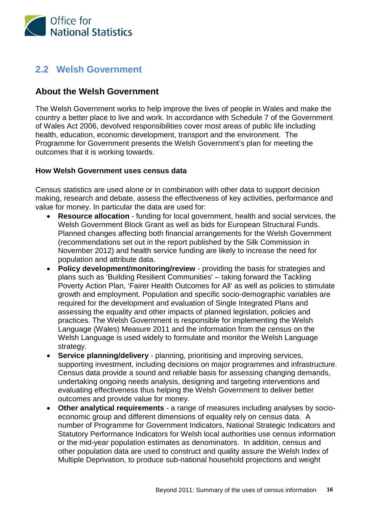

# **2.2 Welsh Government**

# **About the Welsh Government**

The Welsh Government works to help improve the lives of people in Wales and make the country a better place to live and work. In accordance with Schedule 7 of the Government of Wales Act 2006, devolved responsibilities cover most areas of public life including health, education, economic development, transport and the environment. The Programme for Government presents the Welsh Government's plan for meeting the outcomes that it is working towards.

## **How Welsh Government uses census data**

Census statistics are used alone or in combination with other data to support decision making, research and debate, assess the effectiveness of key activities, performance and value for money. In particular the data are used for:

- **Resource allocation** funding for local government, health and social services, the Welsh Government Block Grant as well as bids for European Structural Funds. Planned changes affecting both financial arrangements for the Welsh Government (recommendations set out in the report published by the Silk Commission in November 2012) and health service funding are likely to increase the need for population and attribute data.
- **Policy development/monitoring/review** providing the basis for strategies and plans such as 'Building Resilient Communities' – taking forward the Tackling Poverty Action Plan, 'Fairer Health Outcomes for All' as well as policies to stimulate growth and employment. Population and specific socio-demographic variables are required for the development and evaluation of Single Integrated Plans and assessing the equality and other impacts of planned legislation, policies and practices. The Welsh Government is responsible for implementing the Welsh Language (Wales) Measure 2011 and the information from the census on the Welsh Language is used widely to formulate and monitor the Welsh Language strategy.
- **Service planning/delivery** planning, prioritising and improving services, supporting investment, including decisions on major programmes and infrastructure. Census data provide a sound and reliable basis for assessing changing demands, undertaking ongoing needs analysis, designing and targeting interventions and evaluating effectiveness thus helping the Welsh Government to deliver better outcomes and provide value for money.
- **Other analytical requirements** a range of measures including analyses by socioeconomic group and different dimensions of equality rely on census data. A number of Programme for Government Indicators, National Strategic Indicators and Statutory Performance Indicators for Welsh local authorities use census information or the mid-year population estimates as denominators. In addition, census and other population data are used to construct and quality assure the Welsh Index of Multiple Deprivation, to produce sub-national household projections and weight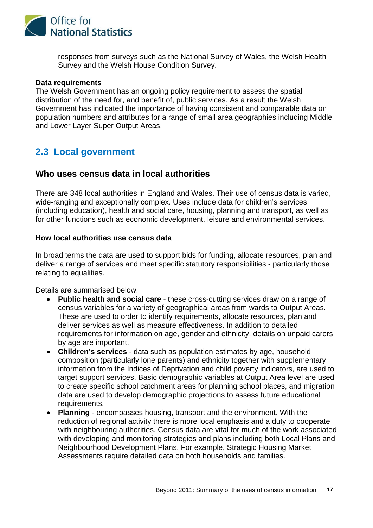

responses from surveys such as the National Survey of Wales, the Welsh Health Survey and the Welsh House Condition Survey.

#### **Data requirements**

The Welsh Government has an ongoing policy requirement to assess the spatial distribution of the need for, and benefit of, public services. As a result the Welsh Government has indicated the importance of having consistent and comparable data on population numbers and attributes for a range of small area geographies including Middle and Lower Layer Super Output Areas.

# **2.3 Local government**

## **Who uses census data in local authorities**

There are 348 local authorities in England and Wales. Their use of census data is varied, wide-ranging and exceptionally complex. Uses include data for children's services (including education), health and social care, housing, planning and transport, as well as for other functions such as economic development, leisure and environmental services.

## **How local authorities use census data**

In broad terms the data are used to support bids for funding, allocate resources, plan and deliver a range of services and meet specific statutory responsibilities - particularly those relating to equalities.

Details are summarised below.

- **Public health and social care** these cross-cutting services draw on a range of census variables for a variety of geographical areas from wards to Output Areas. These are used to order to identify requirements, allocate resources, plan and deliver services as well as measure effectiveness. In addition to detailed requirements for information on age, gender and ethnicity, details on unpaid carers by age are important.
- **Children's services** data such as population estimates by age, household composition (particularly lone parents) and ethnicity together with supplementary information from the Indices of Deprivation and child poverty indicators, are used to target support services. Basic demographic variables at Output Area level are used to create specific school catchment areas for planning school places, and migration data are used to develop demographic projections to assess future educational requirements.
- **Planning** encompasses housing, transport and the environment. With the reduction of regional activity there is more local emphasis and a duty to cooperate with neighbouring authorities. Census data are vital for much of the work associated with developing and monitoring strategies and plans including both Local Plans and Neighbourhood Development Plans. For example, Strategic Housing Market Assessments require detailed data on both households and families.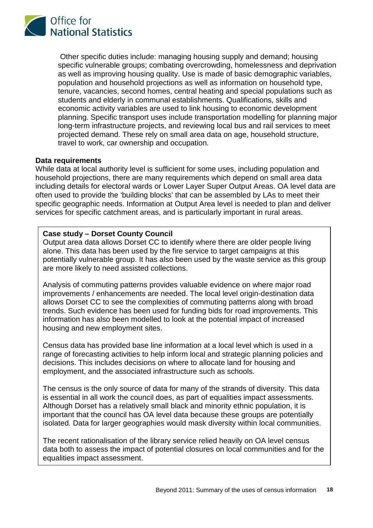

Other specific duties include: managing housing supply and demand; housing specific vulnerable groups; combating overcrowding, homelessness and deprivation as well as improving housing quality. Use is made of basic demographic variables, population and household projections as well as information on household type, tenure, vacancies, second homes, central heating and special populations such as students and elderly in communal establishments. Qualifications, skills and economic activity variables are used to link housing to economic development planning. Specific transport uses include transportation modelling for planning major long-term infrastructure projects, and reviewing local bus and rail services to meet projected demand. These rely on small area data on age, household structure, travel to work, car ownership and occupation.

### **Data requirements**

While data at local authority level is sufficient for some uses, including population and household projections, there are many requirements which depend on small area data including details for electoral wards or Lower Layer Super Output Areas. OA level data are often used to provide the 'building blocks' that can be assembled by LAs to meet their specific geographic needs. Information at Output Area level is needed to plan and deliver services for specific catchment areas, and is particularly important in rural areas.

## **Case study – Dorset County Council**

Output area data allows Dorset CC to identify where there are older people living alone. This data has been used by the fire service to target campaigns at this potentially vulnerable group. It has also been used by the waste service as this group are more likely to need assisted collections.

Analysis of commuting patterns provides valuable evidence on where major road improvements / enhancements are needed. The local level origin-destination data allows Dorset CC to see the complexities of commuting patterns along with broad trends. Such evidence has been used for funding bids for road improvements. This information has also been modelled to look at the potential impact of increased housing and new employment sites.

Census data has provided base line information at a local level which is used in a range of forecasting activities to help inform local and strategic planning policies and decisions. This includes decisions on where to allocate land for housing and employment, and the associated infrastructure such as schools.

The census is the only source of data for many of the strands of diversity. This data is essential in all work the council does, as part of equalities impact assessments. Although Dorset has a relatively small black and minority ethnic population, it is important that the council has OA level data because these groups are potentially isolated. Data for larger geographies would mask diversity within local communities.

The recent rationalisation of the library service relied heavily on OA level census data both to assess the impact of potential closures on local communities and for the equalities impact assessment.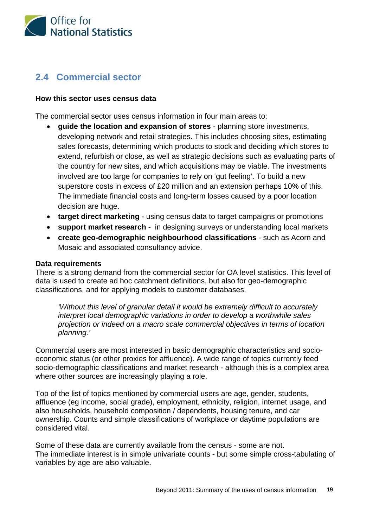

# **2.4 Commercial sector**

## **How this sector uses census data**

The commercial sector uses census information in four main areas to:

- **guide the location and expansion of stores** planning store investments, developing network and retail strategies. This includes choosing sites, estimating sales forecasts, determining which products to stock and deciding which stores to extend, refurbish or close, as well as strategic decisions such as evaluating parts of the country for new sites, and which acquisitions may be viable. The investments involved are too large for companies to rely on 'gut feeling'. To build a new superstore costs in excess of £20 million and an extension perhaps 10% of this. The immediate financial costs and long-term losses caused by a poor location decision are huge.
- **target direct marketing** using census data to target campaigns or promotions
- **support market research** in designing surveys or understanding local markets
- **create geo-demographic neighbourhood classifications** such as Acorn and Mosaic and associated consultancy advice.

#### **Data requirements**

There is a strong demand from the commercial sector for OA level statistics. This level of data is used to create ad hoc catchment definitions, but also for geo-demographic classifications, and for applying models to customer databases.

*'Without this level of granular detail it would be extremely difficult to accurately interpret local demographic variations in order to develop a worthwhile sales projection or indeed on a macro scale commercial objectives in terms of location planning.'*

Commercial users are most interested in basic demographic characteristics and socioeconomic status (or other proxies for affluence). A wide range of topics currently feed socio-demographic classifications and market research - although this is a complex area where other sources are increasingly playing a role.

Top of the list of topics mentioned by commercial users are age, gender, students, affluence (eg income, social grade), employment, ethnicity, religion, internet usage, and also households, household composition / dependents, housing tenure, and car ownership. Counts and simple classifications of workplace or daytime populations are considered vital.

Some of these data are currently available from the census - some are not. The immediate interest is in simple univariate counts - but some simple cross-tabulating of variables by age are also valuable.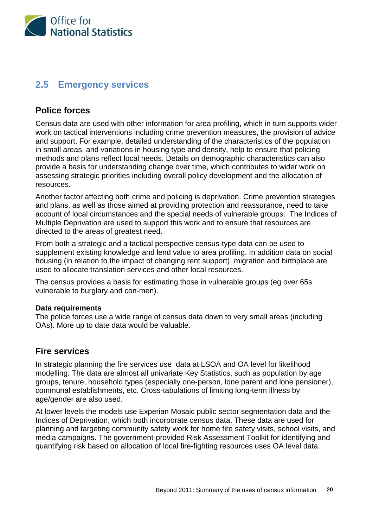

# **2.5 Emergency services**

## **Police forces**

Census data are used with other information for area profiling, which in turn supports wider work on tactical interventions including crime prevention measures, the provision of advice and support. For example, detailed understanding of the characteristics of the population in small areas, and variations in housing type and density, help to ensure that policing methods and plans reflect local needs. Details on demographic characteristics can also provide a basis for understanding change over time, which contributes to wider work on assessing strategic priorities including overall policy development and the allocation of resources.

Another factor affecting both crime and policing is deprivation. Crime prevention strategies and plans, as well as those aimed at providing protection and reassurance, need to take account of local circumstances and the special needs of vulnerable groups. The Indices of Multiple Deprivation are used to support this work and to ensure that resources are directed to the areas of greatest need.

From both a strategic and a tactical perspective census-type data can be used to supplement existing knowledge and lend value to area profiling. In addition data on social housing (in relation to the impact of changing rent support), migration and birthplace are used to allocate translation services and other local resources.

The census provides a basis for estimating those in vulnerable groups (eg over 65s vulnerable to burglary and con-men).

### **Data requirements**

The police forces use a wide range of census data down to very small areas (including OAs). More up to date data would be valuable.

## **Fire services**

In strategic planning the fire services use data at LSOA and OA level for likelihood modelling. The data are almost all univariate Key Statistics, such as population by age groups, tenure, household types (especially one-person, lone parent and lone pensioner), communal establishments, etc. Cross-tabulations of limiting long-term illness by age/gender are also used.

At lower levels the models use Experian Mosaic public sector segmentation data and the Indices of Deprivation, which both incorporate census data. These data are used for planning and targeting community safety work for home fire safety visits, school visits, and media campaigns. The government-provided Risk Assessment Toolkit for identifying and quantifying risk based on allocation of local fire-fighting resources uses OA level data.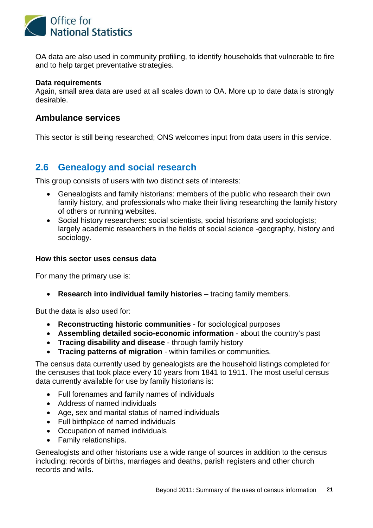

OA data are also used in community profiling, to identify households that vulnerable to fire and to help target preventative strategies.

## **Data requirements**

Again, small area data are used at all scales down to OA. More up to date data is strongly desirable.

## **Ambulance services**

This sector is still being researched; ONS welcomes input from data users in this service.

# **2.6 Genealogy and social research**

This group consists of users with two distinct sets of interests:

- Genealogists and family historians: members of the public who research their own family history, and professionals who make their living researching the family history of others or running websites.
- Social history researchers: social scientists, social historians and sociologists; largely academic researchers in the fields of social science -geography, history and sociology.

## **How this sector uses census data**

For many the primary use is:

• **Research into individual family histories** – tracing family members.

But the data is also used for:

- **Reconstructing historic communities** for sociological purposes
- **Assembling detailed socio-economic information** about the country's past
- **Tracing disability and disease** through family history
- **Tracing patterns of migration** within families or communities.

The census data currently used by genealogists are the household listings completed for the censuses that took place every 10 years from 1841 to 1911. The most useful census data currently available for use by family historians is:

- Full forenames and family names of individuals
- Address of named individuals
- Age, sex and marital status of named individuals
- Full birthplace of named individuals
- Occupation of named individuals
- Family relationships.

Genealogists and other historians use a wide range of sources in addition to the census including: records of births, marriages and deaths, parish registers and other church records and wills.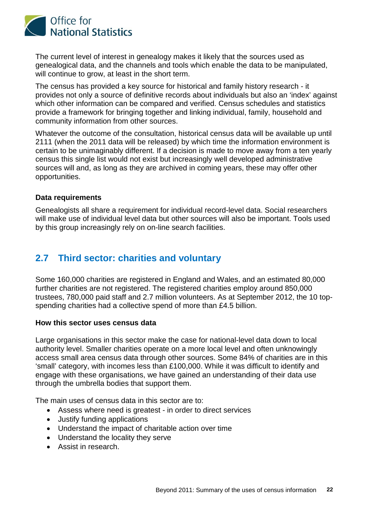

The current level of interest in genealogy makes it likely that the sources used as genealogical data, and the channels and tools which enable the data to be manipulated, will continue to grow, at least in the short term.

The census has provided a key source for historical and family history research - it provides not only a source of definitive records about individuals but also an 'index' against which other information can be compared and verified. Census schedules and statistics provide a framework for bringing together and linking individual, family, household and community information from other sources.

Whatever the outcome of the consultation, historical census data will be available up until 2111 (when the 2011 data will be released) by which time the information environment is certain to be unimaginably different. If a decision is made to move away from a ten yearly census this single list would not exist but increasingly well developed administrative sources will and, as long as they are archived in coming years, these may offer other opportunities.

## **Data requirements**

Genealogists all share a requirement for individual record-level data. Social researchers will make use of individual level data but other sources will also be important. Tools used by this group increasingly rely on on-line search facilities.

# **2.7 Third sector: charities and voluntary**

Some 160,000 charities are registered in England and Wales, and an estimated 80,000 further charities are not registered. The registered charities employ around 850,000 trustees, 780,000 paid staff and 2.7 million volunteers. As at September 2012, the 10 topspending charities had a collective spend of more than £4.5 billion.

### **How this sector uses census data**

Large organisations in this sector make the case for national-level data down to local authority level. Smaller charities operate on a more local level and often unknowingly access small area census data through other sources. Some 84% of charities are in this 'small' category, with incomes less than £100,000. While it was difficult to identify and engage with these organisations, we have gained an understanding of their data use through the umbrella bodies that support them.

The main uses of census data in this sector are to:

- Assess where need is greatest in order to direct services
- Justify funding applications
- Understand the impact of charitable action over time
- Understand the locality they serve
- Assist in research.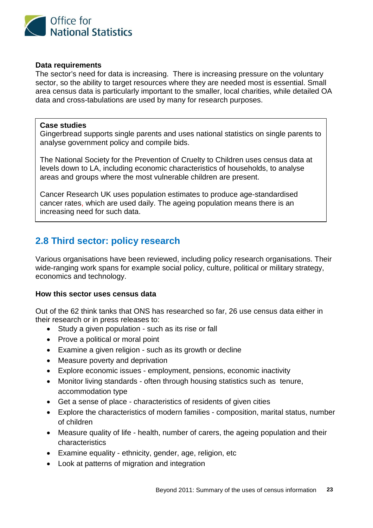

## **Data requirements**

The sector's need for data is increasing. There is increasing pressure on the voluntary sector, so the ability to target resources where they are needed most is essential. Small area census data is particularly important to the smaller, local charities, while detailed OA data and cross-tabulations are used by many for research purposes.

## **Case studies**

Gingerbread supports single parents and uses national statistics on single parents to analyse government policy and compile bids.

The National Society for the Prevention of Cruelty to Children uses census data at levels down to LA, including economic characteristics of households, to analyse areas and groups where the most vulnerable children are present.

Cancer Research UK uses population estimates to produce age-standardised cancer rates, which are used daily. The ageing population means there is an increasing need for such data.

# **2.8 Third sector: policy research**

Various organisations have been reviewed, including policy research organisations. Their wide-ranging work spans for example social policy, culture, political or military strategy, economics and technology.

## **How this sector uses census data**

Out of the 62 think tanks that ONS has researched so far, 26 use census data either in their research or in press releases to:

- Study a given population such as its rise or fall
- Prove a political or moral point
- Examine a given religion such as its growth or decline
- Measure poverty and deprivation
- Explore economic issues employment, pensions, economic inactivity
- Monitor living standards often through housing statistics such as tenure, accommodation type
- Get a sense of place characteristics of residents of given cities
- Explore the characteristics of modern families composition, marital status, number of children
- Measure quality of life health, number of carers, the ageing population and their characteristics
- Examine equality ethnicity, gender, age, religion, etc
- Look at patterns of migration and integration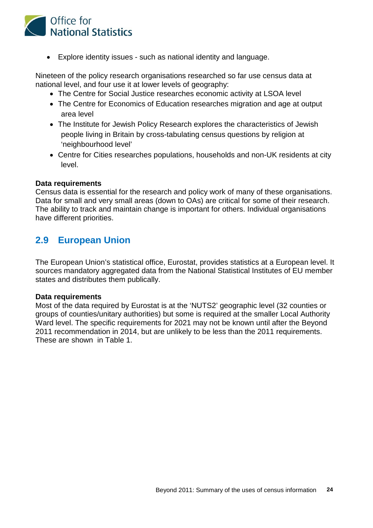

• Explore identity issues - such as national identity and language.

Nineteen of the policy research organisations researched so far use census data at national level, and four use it at lower levels of geography:

- The Centre for Social Justice researches economic activity at LSOA level
- The Centre for Economics of Education researches migration and age at output area level
- The Institute for Jewish Policy Research explores the characteristics of Jewish people living in Britain by cross-tabulating census questions by religion at 'neighbourhood level'
- Centre for Cities researches populations, households and non-UK residents at city level.

### **Data requirements**

Census data is essential for the research and policy work of many of these organisations. Data for small and very small areas (down to OAs) are critical for some of their research. The ability to track and maintain change is important for others. Individual organisations have different priorities.

# **2.9 European Union**

The European Union's statistical office, Eurostat, provides statistics at a European level. It sources mandatory aggregated data from the National Statistical Institutes of EU member states and distributes them publically.

### **Data requirements**

Most of the data required by Eurostat is at the 'NUTS2' geographic level (32 counties or groups of counties/unitary authorities) but some is required at the smaller Local Authority Ward level. The specific requirements for 2021 may not be known until after the Beyond 2011 recommendation in 2014, but are unlikely to be less than the 2011 requirements. These are shown in Table 1.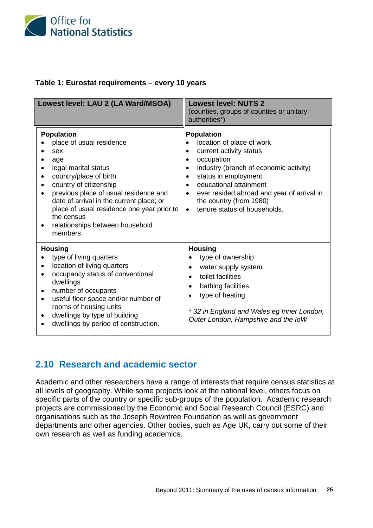

## **Table 1: Eurostat requirements – every 10 years**

| Lowest level: LAU 2 (LA Ward/MSOA)                                                                                                                                                                                                                                                                                                     | <b>Lowest level: NUTS 2</b><br>(counties, groups of counties or unitary<br>authorities*)                                                                                                                                                                                                                                                                   |
|----------------------------------------------------------------------------------------------------------------------------------------------------------------------------------------------------------------------------------------------------------------------------------------------------------------------------------------|------------------------------------------------------------------------------------------------------------------------------------------------------------------------------------------------------------------------------------------------------------------------------------------------------------------------------------------------------------|
| <b>Population</b><br>place of usual residence<br>sex<br>age<br>legal marital status<br>country/place of birth<br>country of citizenship<br>previous place of usual residence and<br>date of arrival in the current place; or<br>place of usual residence one year prior to<br>the census<br>relationships between household<br>members | <b>Population</b><br>location of place of work<br>$\bullet$<br>current activity status<br>٠<br>occupation<br>$\bullet$<br>industry (branch of economic activity)<br>٠<br>status in employment<br>educational attainment<br>$\bullet$<br>ever resided abroad and year of arrival in<br>the country (from 1980)<br>tenure status of households.<br>$\bullet$ |
| <b>Housing</b><br>type of living quarters<br>location of living quarters<br>occupancy status of conventional<br>dwellings<br>number of occupants<br>useful floor space and/or number of<br>$\bullet$<br>rooms of housing units<br>dwellings by type of building<br>dwellings by period of construction.                                | <b>Housing</b><br>type of ownership<br>water supply system<br>toilet facilities<br>$\bullet$<br>bathing facilities<br>$\bullet$<br>type of heating.<br>* 32 in England and Wales eg Inner London,<br>Outer London, Hampshire and the IoW                                                                                                                   |

# **2.10 Research and academic sector**

Academic and other researchers have a range of interests that require census statistics at all levels of geography. While some projects look at the national level, others focus on specific parts of the country or specific sub-groups of the population. Academic research projects are commissioned by the Economic and Social Research Council (ESRC) and organisations such as the Joseph Rowntree Foundation as well as government departments and other agencies. Other bodies, such as Age UK, carry out some of their own research as well as funding academics.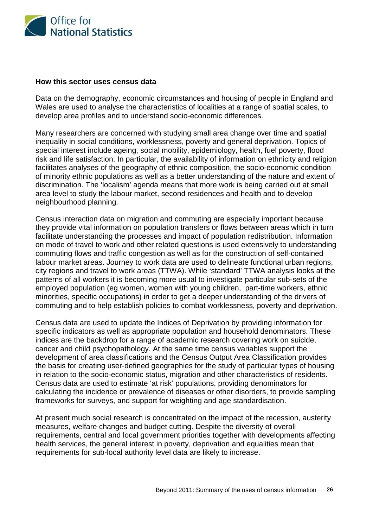

#### **How this sector uses census data**

Data on the demography, economic circumstances and housing of people in England and Wales are used to analyse the characteristics of localities at a range of spatial scales, to develop area profiles and to understand socio-economic differences.

Many researchers are concerned with studying small area change over time and spatial inequality in social conditions, worklessness, poverty and general deprivation. Topics of special interest include ageing, social mobility, epidemiology, health, fuel poverty, flood risk and life satisfaction. In particular, the availability of information on ethnicity and religion facilitates analyses of the geography of ethnic composition, the socio-economic condition of minority ethnic populations as well as a better understanding of the nature and extent of discrimination. The 'localism' agenda means that more work is being carried out at small area level to study the labour market, second residences and health and to develop neighbourhood planning.

Census interaction data on migration and commuting are especially important because they provide vital information on population transfers or flows between areas which in turn facilitate understanding the processes and impact of population redistribution. Information on mode of travel to work and other related questions is used extensively to understanding commuting flows and traffic congestion as well as for the construction of self-contained labour market areas. Journey to work data are used to delineate functional urban regions, city regions and travel to work areas (TTWA). While 'standard' TTWA analysis looks at the patterns of all workers it is becoming more usual to investigate particular sub-sets of the employed population (eg women, women with young children, part-time workers, ethnic minorities, specific occupations) in order to get a deeper understanding of the drivers of commuting and to help establish policies to combat worklessness, poverty and deprivation.

Census data are used to update the Indices of Deprivation by providing information for specific indicators as well as appropriate population and household denominators. These indices are the backdrop for a range of academic research covering work on suicide, cancer and child psychopathology. At the same time census variables support the development of area classifications and the Census Output Area Classification provides the basis for creating user-defined geographies for the study of particular types of housing in relation to the socio-economic status, migration and other characteristics of residents. Census data are used to estimate 'at risk' populations, providing denominators for calculating the incidence or prevalence of diseases or other disorders, to provide sampling frameworks for surveys, and support for weighting and age standardisation.

At present much social research is concentrated on the impact of the recession, austerity measures, welfare changes and budget cutting. Despite the diversity of overall requirements, central and local government priorities together with developments affecting health services, the general interest in poverty, deprivation and equalities mean that requirements for sub-local authority level data are likely to increase.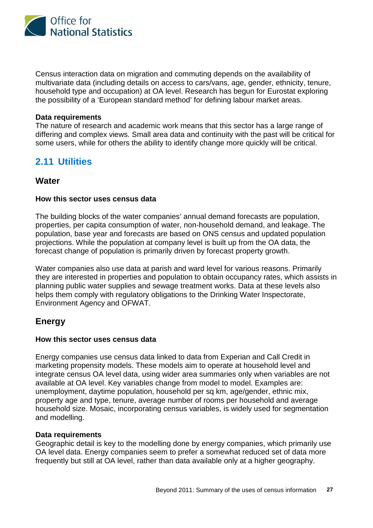

Census interaction data on migration and commuting depends on the availability of multivariate data (including details on access to cars/vans, age, gender, ethnicity, tenure, household type and occupation) at OA level. Research has begun for Eurostat exploring the possibility of a 'European standard method' for defining labour market areas.

#### **Data requirements**

The nature of research and academic work means that this sector has a large range of differing and complex views. Small area data and continuity with the past will be critical for some users, while for others the ability to identify change more quickly will be critical.

# **2.11 Utilities**

## **Water**

### **How this sector uses census data**

The building blocks of the water companies' annual demand forecasts are population, properties, per capita consumption of water, non-household demand, and leakage. The population, base year and forecasts are based on ONS census and updated population projections. While the population at company level is built up from the OA data, the forecast change of population is primarily driven by forecast property growth.

Water companies also use data at parish and ward level for various reasons. Primarily they are interested in properties and population to obtain occupancy rates, which assists in planning public water supplies and sewage treatment works. Data at these levels also helps them comply with regulatory obligations to the Drinking Water Inspectorate, Environment Agency and OFWAT.

## **Energy**

### **How this sector uses census data**

Energy companies use census data linked to data from Experian and Call Credit in marketing propensity models. These models aim to operate at household level and integrate census OA level data, using wider area summaries only when variables are not available at OA level. Key variables change from model to model. Examples are: unemployment, daytime population, household per sq km, age/gender, ethnic mix, property age and type, tenure, average number of rooms per household and average household size. Mosaic, incorporating census variables, is widely used for segmentation and modelling.

### **Data requirements**

Geographic detail is key to the modelling done by energy companies, which primarily use OA level data. Energy companies seem to prefer a somewhat reduced set of data more frequently but still at OA level, rather than data available only at a higher geography.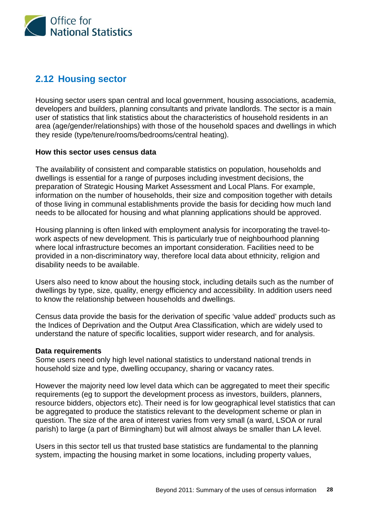

# **2.12 Housing sector**

Housing sector users span central and local government, housing associations, academia, developers and builders, planning consultants and private landlords. The sector is a main user of statistics that link statistics about the characteristics of household residents in an area (age/gender/relationships) with those of the household spaces and dwellings in which they reside (type/tenure/rooms/bedrooms/central heating).

### **How this sector uses census data**

The availability of consistent and comparable statistics on population, households and dwellings is essential for a range of purposes including investment decisions, the preparation of Strategic Housing Market Assessment and Local Plans. For example, information on the number of households, their size and composition together with details of those living in communal establishments provide the basis for deciding how much land needs to be allocated for housing and what planning applications should be approved.

Housing planning is often linked with employment analysis for incorporating the travel-towork aspects of new development. This is particularly true of neighbourhood planning where local infrastructure becomes an important consideration. Facilities need to be provided in a non-discriminatory way, therefore local data about ethnicity, religion and disability needs to be available.

Users also need to know about the housing stock, including details such as the number of dwellings by type, size, quality, energy efficiency and accessibility. In addition users need to know the relationship between households and dwellings.

Census data provide the basis for the derivation of specific 'value added' products such as the Indices of Deprivation and the Output Area Classification, which are widely used to understand the nature of specific localities, support wider research, and for analysis.

#### **Data requirements**

Some users need only high level national statistics to understand national trends in household size and type, dwelling occupancy, sharing or vacancy rates.

However the majority need low level data which can be aggregated to meet their specific requirements (eg to support the development process as investors, builders, planners, resource bidders, objectors etc). Their need is for low geographical level statistics that can be aggregated to produce the statistics relevant to the development scheme or plan in question. The size of the area of interest varies from very small (a ward, LSOA or rural parish) to large (a part of Birmingham) but will almost always be smaller than LA level.

Users in this sector tell us that trusted base statistics are fundamental to the planning system, impacting the housing market in some locations, including property values,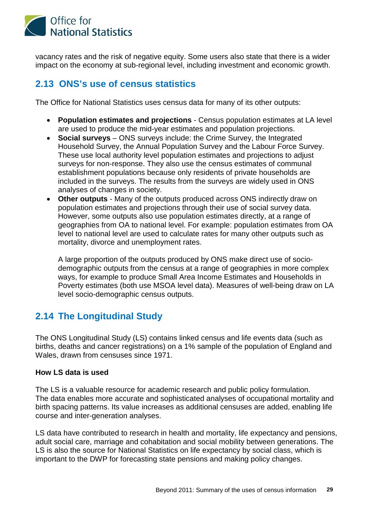

vacancy rates and the risk of negative equity. Some users also state that there is a wider impact on the economy at sub-regional level, including investment and economic growth.

# **2.13 ONS's use of census statistics**

The Office for National Statistics uses census data for many of its other outputs:

- **Population estimates and projections** Census population estimates at LA level are used to produce the mid-year estimates and population projections.
- **Social surveys** ONS surveys include: the Crime Survey, the Integrated Household Survey, the Annual Population Survey and the Labour Force Survey. These use local authority level population estimates and projections to adjust surveys for non-response. They also use the census estimates of communal establishment populations because only residents of private households are included in the surveys. The results from the surveys are widely used in ONS analyses of changes in society.
- **Other outputs** Many of the outputs produced across ONS indirectly draw on population estimates and projections through their use of social survey data. However, some outputs also use population estimates directly, at a range of geographies from OA to national level. For example: population estimates from OA level to national level are used to calculate rates for many other outputs such as mortality, divorce and unemployment rates.

A large proportion of the outputs produced by ONS make direct use of sociodemographic outputs from the census at a range of geographies in more complex ways, for example to produce Small Area Income Estimates and Households in Poverty estimates (both use MSOA level data). Measures of well-being draw on LA level socio-demographic census outputs.

# **2.14 The Longitudinal Study**

The ONS Longitudinal Study (LS) contains linked census and life events data (such as births, deaths and cancer registrations) on a 1% sample of the population of England and Wales, drawn from censuses since 1971.

## **How LS data is used**

The LS is a valuable resource for academic research and public policy formulation. The data enables more accurate and sophisticated analyses of occupational mortality and birth spacing patterns. Its value increases as additional censuses are added, enabling life course and inter-generation analyses.

LS data have contributed to research in health and mortality, life expectancy and pensions, adult social care, marriage and cohabitation and social mobility between generations. The LS is also the source for National Statistics on life expectancy by social class, which is important to the DWP for forecasting state pensions and making policy changes.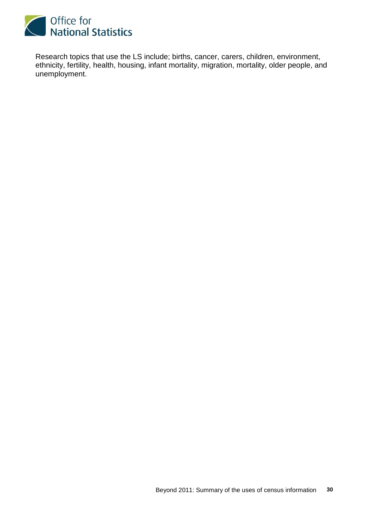

Research topics that use the LS include; births, cancer, carers, children, environment, ethnicity, fertility, health, housing, infant mortality, migration, mortality, older people, and unemployment.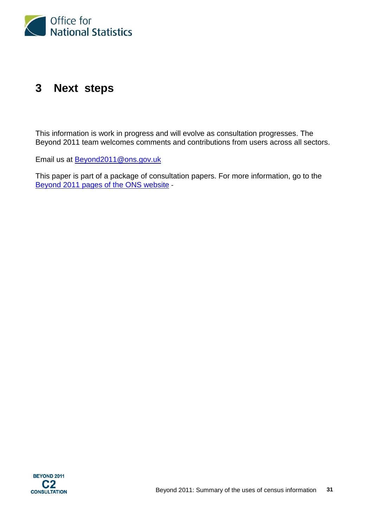

# **3 Next steps**

This information is work in progress and will evolve as consultation progresses. The Beyond 2011 team welcomes comments and contributions from users across all sectors.

Email us at **Beyond2011@ons.gov.uk** 

This paper is part of a package of consultation papers. For more information, go to the [Beyond 2011 pages of the ONS website](http://www.ons.gov.uk/ons/about-ons/who-ons-are/programmes-and-projects/beyond-2011/index.html) -

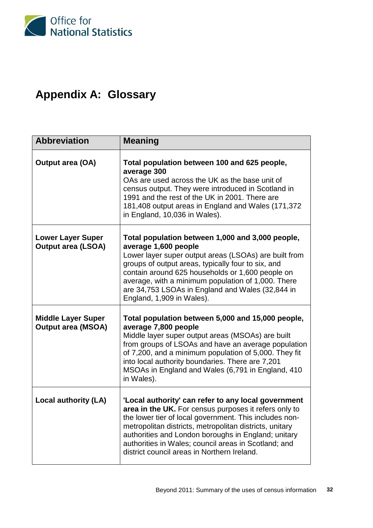

# **Appendix A: Glossary**

| <b>Abbreviation</b>                                    | <b>Meaning</b>                                                                                                                                                                                                                                                                                                                                                                                  |
|--------------------------------------------------------|-------------------------------------------------------------------------------------------------------------------------------------------------------------------------------------------------------------------------------------------------------------------------------------------------------------------------------------------------------------------------------------------------|
| <b>Output area (OA)</b>                                | Total population between 100 and 625 people,<br>average 300<br>OAs are used across the UK as the base unit of<br>census output. They were introduced in Scotland in<br>1991 and the rest of the UK in 2001. There are<br>181,408 output areas in England and Wales (171,372<br>in England, 10,036 in Wales).                                                                                    |
| <b>Lower Layer Super</b><br><b>Output area (LSOA)</b>  | Total population between 1,000 and 3,000 people,<br>average 1,600 people<br>Lower layer super output areas (LSOAs) are built from<br>groups of output areas, typically four to six, and<br>contain around 625 households or 1,600 people on<br>average, with a minimum population of 1,000. There<br>are 34,753 LSOAs in England and Wales (32,844 in<br>England, 1,909 in Wales).              |
| <b>Middle Layer Super</b><br><b>Output area (MSOA)</b> | Total population between 5,000 and 15,000 people,<br>average 7,800 people<br>Middle layer super output areas (MSOAs) are built<br>from groups of LSOAs and have an average population<br>of 7,200, and a minimum population of 5,000. They fit<br>into local authority boundaries. There are 7,201<br>MSOAs in England and Wales (6,791 in England, 410<br>in Wales).                           |
| Local authority (LA)                                   | 'Local authority' can refer to any local government<br>area in the UK. For census purposes it refers only to<br>the lower tier of local government. This includes non-<br>metropolitan districts, metropolitan districts, unitary<br>authorities and London boroughs in England; unitary<br>authorities in Wales; council areas in Scotland; and<br>district council areas in Northern Ireland. |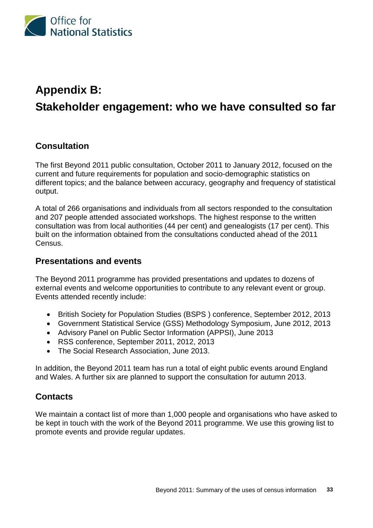

# **Appendix B: Stakeholder engagement: who we have consulted so far**

# **Consultation**

The first Beyond 2011 public consultation, October 2011 to January 2012, focused on the current and future requirements for population and socio-demographic statistics on different topics; and the balance between accuracy, geography and frequency of statistical output.

A total of 266 organisations and individuals from all sectors responded to the consultation and 207 people attended associated workshops. The highest response to the written consultation was from local authorities (44 per cent) and genealogists (17 per cent). This built on the information obtained from the consultations conducted ahead of the 2011 Census.

## **Presentations and events**

The Beyond 2011 programme has provided presentations and updates to dozens of external events and welcome opportunities to contribute to any relevant event or group. Events attended recently include:

- British Society for Population Studies (BSPS ) conference, September 2012, 2013
- Government Statistical Service (GSS) Methodology Symposium, June 2012, 2013
- Advisory Panel on Public Sector Information (APPSI), June 2013
- RSS conference, September 2011, 2012, 2013
- The Social Research Association, June 2013.

In addition, the Beyond 2011 team has run a total of eight public events around England and Wales. A further six are planned to support the consultation for autumn 2013.

## **Contacts**

We maintain a contact list of more than 1,000 people and organisations who have asked to be kept in touch with the work of the Beyond 2011 programme. We use this growing list to promote events and provide regular updates.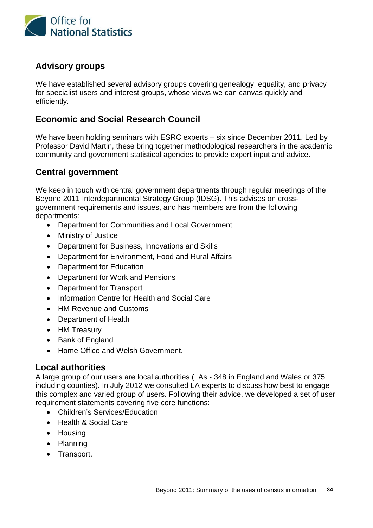

# **Advisory groups**

We have established several advisory groups covering genealogy, equality, and privacy for specialist users and interest groups, whose views we can canvas quickly and efficiently.

# **Economic and Social Research Council**

We have been holding seminars with ESRC experts – six since December 2011. Led by Professor David Martin, these bring together methodological researchers in the academic community and government statistical agencies to provide expert input and advice.

# **Central government**

We keep in touch with central government departments through regular meetings of the Beyond 2011 Interdepartmental Strategy Group (IDSG). This advises on crossgovernment requirements and issues, and has members are from the following departments:

- Department for Communities and Local Government
- Ministry of Justice
- Department for Business, Innovations and Skills
- Department for Environment, Food and Rural Affairs
- Department for Education
- Department for Work and Pensions
- Department for Transport
- Information Centre for Health and Social Care
- HM Revenue and Customs
- Department of Health
- HM Treasury
- Bank of England
- Home Office and Welsh Government

## **Local authorities**

A large group of our users are local authorities (LAs - 348 in England and Wales or 375 including counties). In July 2012 we consulted LA experts to discuss how best to engage this complex and varied group of users. Following their advice, we developed a set of user requirement statements covering five core functions:

- Children's Services/Education
- Health & Social Care
- Housing
- Planning
- Transport.